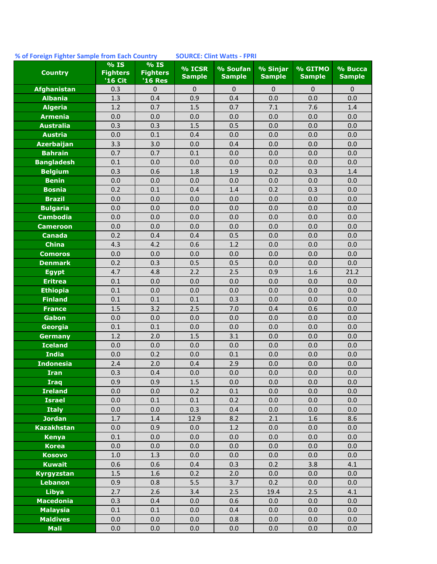## **% of Foreign Fighter Sample from Each Country SOURCE: Clint Watts - FPRI**

| <b>Country</b>                     | % IS<br><b>Fighters</b><br>'16 Cit | % IS<br><b>Fighters</b><br><b>'16 Res</b> | % ICSR<br><b>Sample</b> | % Soufan<br><b>Sample</b> | % Sinjar<br><b>Sample</b> | % GITMO<br><b>Sample</b> | % Bucca<br><b>Sample</b> |
|------------------------------------|------------------------------------|-------------------------------------------|-------------------------|---------------------------|---------------------------|--------------------------|--------------------------|
| Afghanistan                        | 0.3                                | $\Omega$                                  | $\mathbf 0$             | $\mathbf 0$               | $\mathbf 0$               | $\mathbf{0}$             | $\mathbf 0$              |
| <b>Albania</b>                     | 1.3                                | 0.4                                       | 0.9                     | 0.4                       | 0.0                       | 0.0                      | 0.0                      |
| <b>Algeria</b>                     | 1.2                                | 0.7                                       | 1.5                     | 0.7                       | 7.1                       | 7.6                      | 1.4                      |
| <b>Armenia</b>                     | 0.0                                | 0.0                                       | 0.0                     | 0.0                       | 0.0                       | 0.0                      | 0.0                      |
| <b>Australia</b>                   | 0.3                                | 0.3                                       | 1.5                     | 0.5                       | 0.0                       | 0.0                      | 0.0                      |
| <b>Austria</b>                     | 0.0                                | $0.1\,$                                   | 0.4                     | 0.0                       | 0.0                       | 0.0                      | 0.0                      |
| <b>Azerbaijan</b>                  | 3.3                                | 3.0                                       | 0.0                     | 0.4                       | 0.0                       | 0.0                      | 0.0                      |
| <b>Bahrain</b>                     | 0.7                                | 0.7                                       | 0.1                     | 0.0                       | 0.0                       | 0.0                      | 0.0                      |
| <b>Bangladesh</b>                  | 0.1                                | 0.0                                       | 0.0                     | 0.0                       | 0.0                       | 0.0                      | 0.0                      |
| <b>Belgium</b>                     | 0.3                                | 0.6                                       | 1.8                     | 1.9                       | 0.2                       | 0.3                      | 1.4                      |
| <b>Benin</b>                       | 0.0                                | 0.0                                       | 0.0                     | 0.0                       | 0.0                       | 0.0                      | 0.0                      |
| <b>Bosnia</b>                      | 0.2                                | 0.1                                       | 0.4                     | 1.4                       | 0.2                       | 0.3                      | 0.0                      |
| <b>Brazil</b>                      | 0.0                                | 0.0                                       | 0.0                     | 0.0                       | 0.0                       | 0.0                      | 0.0                      |
| <b>Bulgaria</b>                    | 0.0                                | 0.0                                       | 0.0                     | 0.0                       | 0.0                       | 0.0                      | 0.0                      |
| <b>Cambodia</b>                    | 0.0                                | 0.0                                       | 0.0                     | 0.0                       | 0.0                       | 0.0                      | 0.0                      |
| <b>Cameroon</b>                    | 0.0                                | 0.0                                       | 0.0                     | 0.0                       | 0.0                       | 0.0                      | 0.0                      |
| <b>Canada</b>                      | 0.2                                | 0.4                                       | 0.4                     | 0.5                       | 0.0                       | 0.0                      | 0.0                      |
| <b>China</b>                       | 4.3                                | 4.2                                       | 0.6                     | 1.2                       | 0.0                       | 0.0                      | 0.0                      |
| <b>Comoros</b>                     | 0.0                                | 0.0                                       | 0.0                     | 0.0                       | 0.0                       | 0.0                      | 0.0                      |
| <b>Denmark</b>                     | 0.2                                | 0.3                                       | 0.5                     | 0.5                       | 0.0                       | 0.0                      | 0.0                      |
| <b>Egypt</b>                       | 4.7                                | 4.8                                       | 2.2                     | 2.5                       | 0.9                       | 1.6                      | 21.2                     |
| <b>Eritrea</b>                     | 0.1                                | 0.0                                       | 0.0                     | 0.0                       | 0.0                       | 0.0                      | 0.0                      |
| <b>Ethiopia</b>                    | 0.1                                | 0.0                                       | 0.0                     | 0.0                       | 0.0                       | 0.0                      | 0.0                      |
| <b>Finland</b>                     | 0.1                                | $0.1\,$                                   | 0.1                     | 0.3                       | 0.0                       | 0.0                      | 0.0                      |
| <b>France</b>                      | 1.5                                | 3.2                                       | 2.5                     | 7.0                       | 0.4                       | 0.6                      | 0.0                      |
| <b>Gabon</b>                       | 0.0                                | 0.0                                       | 0.0                     | 0.0                       | 0.0                       | 0.0                      | 0.0                      |
| Georgia                            | 0.1                                | 0.1                                       | 0.0                     | 0.0                       | 0.0                       | 0.0                      | 0.0                      |
| <b>Germany</b>                     | 1.2                                | 2.0                                       | 1.5                     | 3.1                       | 0.0                       | 0.0                      | 0.0                      |
| <b>Iceland</b>                     | 0.0                                | 0.0                                       | 0.0                     | 0.0                       | 0.0                       | 0.0                      | 0.0                      |
| <b>India</b>                       | 0.0                                | 0.2                                       | 0.0                     | 0.1                       | 0.0                       | 0.0                      | 0.0                      |
| <b>Indonesia</b>                   | 2.4                                | 2.0                                       | 0.4                     | 2.9                       | 0.0                       | 0.0                      | 0.0                      |
| <b>Iran</b>                        | 0.3                                | 0.4                                       | 0.0                     | 0.0                       | 0.0                       | 0.0                      | 0.0                      |
| <b>Iraq</b>                        | 0.9                                | 0.9                                       | 1.5                     | 0.0                       | 0.0                       | 0.0                      | 0.0                      |
| <b>Ireland</b>                     | 0.0                                | 0.0                                       | 0.2                     | 0.1                       | 0.0                       | 0.0                      | 0.0                      |
| <b>Israel</b>                      | 0.0                                | $0.1\,$                                   | 0.1                     | 0.2                       | 0.0                       | 0.0                      | 0.0                      |
| <b>Italy</b>                       | 0.0<br>1.7                         | 0.0                                       | 0.3                     | 0.4                       | 0.0                       | 0.0                      | 0.0                      |
| <b>Jordan</b><br><b>Kazakhstan</b> | 0.0                                | 1.4<br>0.9                                | 12.9<br>0.0             | 8.2<br>1.2                | 2.1<br>0.0                | 1.6<br>0.0               | 8.6<br>0.0               |
|                                    |                                    |                                           |                         |                           |                           |                          |                          |
| <b>Kenya</b><br><b>Korea</b>       | 0.1<br>0.0                         | 0.0<br>0.0                                | 0.0<br>0.0              | 0.0<br>0.0                | 0.0<br>0.0                | 0.0<br>0.0               | 0.0<br>0.0               |
| <b>Kosovo</b>                      | $1.0\,$                            | 1.3                                       | 0.0                     | 0.0                       | 0.0                       |                          | 0.0                      |
| <b>Kuwait</b>                      | 0.6                                | 0.6                                       | 0.4                     | 0.3                       | 0.2                       | 0.0<br>3.8               | 4.1                      |
| <b>Kyrgyzstan</b>                  | 1.5                                | 1.6                                       | 0.2                     | 2.0                       | 0.0                       | 0.0                      | 0.0                      |
| <b>Lebanon</b>                     | 0.9                                | 0.8                                       | 5.5                     | 3.7                       | 0.2                       | 0.0                      | 0.0                      |
| <b>Libya</b>                       | 2.7                                | 2.6                                       | 3.4                     | 2.5                       | 19.4                      | 2.5                      | 4.1                      |
| <b>Macedonia</b>                   | 0.3                                | 0.4                                       | 0.0                     | 0.6                       | 0.0                       | 0.0                      | 0.0                      |
| <b>Malaysia</b>                    | 0.1                                | 0.1                                       | 0.0                     | 0.4                       | 0.0                       | 0.0                      | 0.0                      |
| <b>Maldives</b>                    | 0.0                                | 0.0                                       | 0.0                     | 0.8                       | 0.0                       | 0.0                      | 0.0                      |
| <b>Mali</b>                        | $0.0\,$                            | $0.0\,$                                   | 0.0                     | 0.0                       | 0.0                       | $0.0\,$                  | 0.0                      |